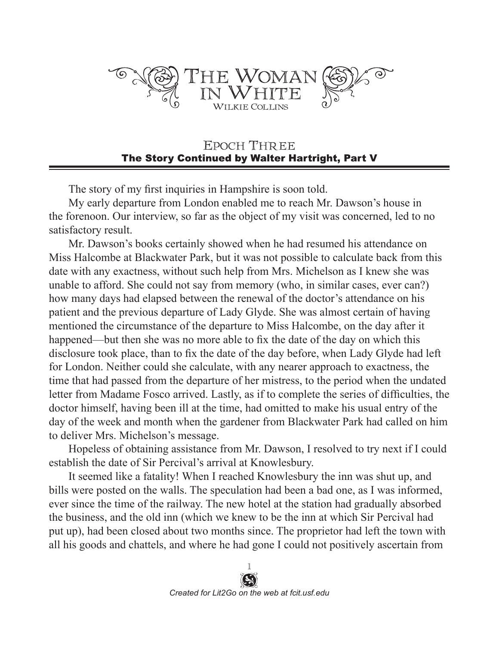

## EPOCH THREE The Story Continued by Walter Hartright, Part V

The story of my first inquiries in Hampshire is soon told.

My early departure from London enabled me to reach Mr. Dawson's house in the forenoon. Our interview, so far as the object of my visit was concerned, led to no satisfactory result.

Mr. Dawson's books certainly showed when he had resumed his attendance on Miss Halcombe at Blackwater Park, but it was not possible to calculate back from this date with any exactness, without such help from Mrs. Michelson as I knew she was unable to afford. She could not say from memory (who, in similar cases, ever can?) how many days had elapsed between the renewal of the doctor's attendance on his patient and the previous departure of Lady Glyde. She was almost certain of having mentioned the circumstance of the departure to Miss Halcombe, on the day after it happened—but then she was no more able to fix the date of the day on which this disclosure took place, than to fix the date of the day before, when Lady Glyde had left for London. Neither could she calculate, with any nearer approach to exactness, the time that had passed from the departure of her mistress, to the period when the undated letter from Madame Fosco arrived. Lastly, as if to complete the series of difficulties, the doctor himself, having been ill at the time, had omitted to make his usual entry of the day of the week and month when the gardener from Blackwater Park had called on him to deliver Mrs. Michelson's message.

Hopeless of obtaining assistance from Mr. Dawson, I resolved to try next if I could establish the date of Sir Percival's arrival at Knowlesbury.

It seemed like a fatality! When I reached Knowlesbury the inn was shut up, and bills were posted on the walls. The speculation had been a bad one, as I was informed, ever since the time of the railway. The new hotel at the station had gradually absorbed the business, and the old inn (which we knew to be the inn at which Sir Percival had put up), had been closed about two months since. The proprietor had left the town with all his goods and chattels, and where he had gone I could not positively ascertain from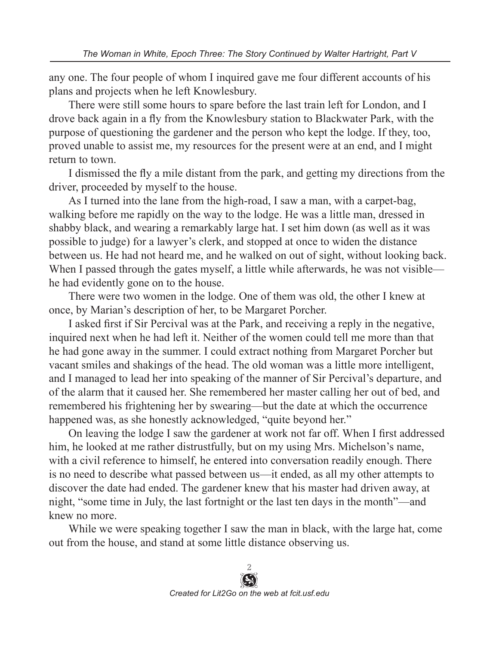any one. The four people of whom I inquired gave me four different accounts of his plans and projects when he left Knowlesbury.

There were still some hours to spare before the last train left for London, and I drove back again in a fly from the Knowlesbury station to Blackwater Park, with the purpose of questioning the gardener and the person who kept the lodge. If they, too, proved unable to assist me, my resources for the present were at an end, and I might return to town.

I dismissed the fly a mile distant from the park, and getting my directions from the driver, proceeded by myself to the house.

As I turned into the lane from the high-road, I saw a man, with a carpet-bag, walking before me rapidly on the way to the lodge. He was a little man, dressed in shabby black, and wearing a remarkably large hat. I set him down (as well as it was possible to judge) for a lawyer's clerk, and stopped at once to widen the distance between us. He had not heard me, and he walked on out of sight, without looking back. When I passed through the gates myself, a little while afterwards, he was not visible he had evidently gone on to the house.

There were two women in the lodge. One of them was old, the other I knew at once, by Marian's description of her, to be Margaret Porcher.

I asked first if Sir Percival was at the Park, and receiving a reply in the negative, inquired next when he had left it. Neither of the women could tell me more than that he had gone away in the summer. I could extract nothing from Margaret Porcher but vacant smiles and shakings of the head. The old woman was a little more intelligent, and I managed to lead her into speaking of the manner of Sir Percival's departure, and of the alarm that it caused her. She remembered her master calling her out of bed, and remembered his frightening her by swearing—but the date at which the occurrence happened was, as she honestly acknowledged, "quite beyond her."

On leaving the lodge I saw the gardener at work not far off. When I first addressed him, he looked at me rather distrustfully, but on my using Mrs. Michelson's name, with a civil reference to himself, he entered into conversation readily enough. There is no need to describe what passed between us—it ended, as all my other attempts to discover the date had ended. The gardener knew that his master had driven away, at night, "some time in July, the last fortnight or the last ten days in the month"—and knew no more.

While we were speaking together I saw the man in black, with the large hat, come out from the house, and stand at some little distance observing us.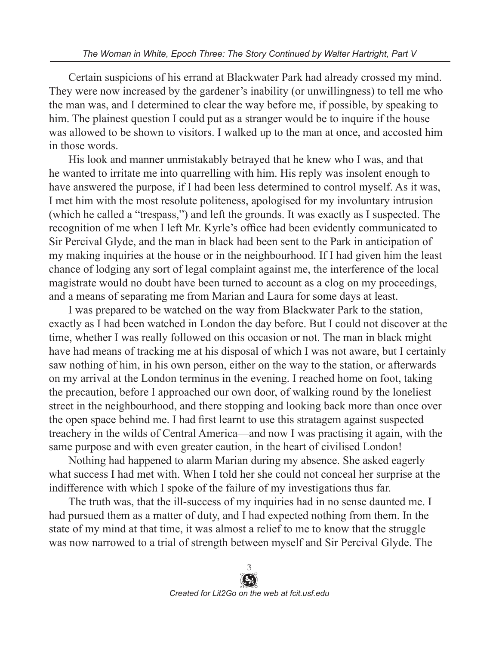Certain suspicions of his errand at Blackwater Park had already crossed my mind. They were now increased by the gardener's inability (or unwillingness) to tell me who the man was, and I determined to clear the way before me, if possible, by speaking to him. The plainest question I could put as a stranger would be to inquire if the house was allowed to be shown to visitors. I walked up to the man at once, and accosted him in those words.

His look and manner unmistakably betrayed that he knew who I was, and that he wanted to irritate me into quarrelling with him. His reply was insolent enough to have answered the purpose, if I had been less determined to control myself. As it was, I met him with the most resolute politeness, apologised for my involuntary intrusion (which he called a "trespass,") and left the grounds. It was exactly as I suspected. The recognition of me when I left Mr. Kyrle's office had been evidently communicated to Sir Percival Glyde, and the man in black had been sent to the Park in anticipation of my making inquiries at the house or in the neighbourhood. If I had given him the least chance of lodging any sort of legal complaint against me, the interference of the local magistrate would no doubt have been turned to account as a clog on my proceedings, and a means of separating me from Marian and Laura for some days at least.

I was prepared to be watched on the way from Blackwater Park to the station, exactly as I had been watched in London the day before. But I could not discover at the time, whether I was really followed on this occasion or not. The man in black might have had means of tracking me at his disposal of which I was not aware, but I certainly saw nothing of him, in his own person, either on the way to the station, or afterwards on my arrival at the London terminus in the evening. I reached home on foot, taking the precaution, before I approached our own door, of walking round by the loneliest street in the neighbourhood, and there stopping and looking back more than once over the open space behind me. I had first learnt to use this stratagem against suspected treachery in the wilds of Central America—and now I was practising it again, with the same purpose and with even greater caution, in the heart of civilised London!

Nothing had happened to alarm Marian during my absence. She asked eagerly what success I had met with. When I told her she could not conceal her surprise at the indifference with which I spoke of the failure of my investigations thus far.

The truth was, that the ill-success of my inquiries had in no sense daunted me. I had pursued them as a matter of duty, and I had expected nothing from them. In the state of my mind at that time, it was almost a relief to me to know that the struggle was now narrowed to a trial of strength between myself and Sir Percival Glyde. The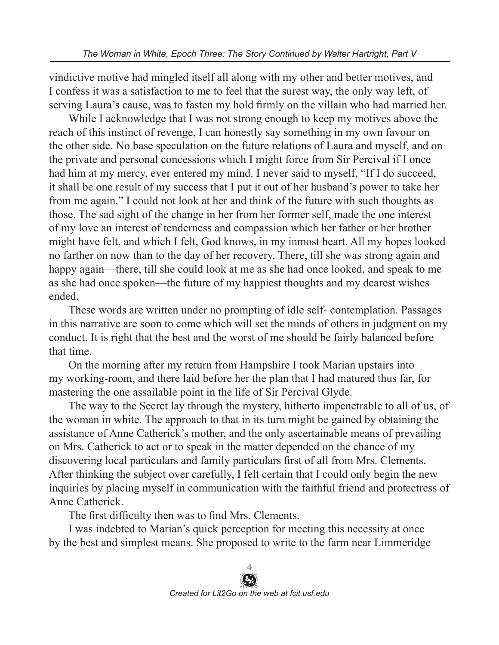vindictive motive had mingled itself all along with my other and better motives, and I confess it was a satisfaction to me to feel that the surest way, the only way left, of serving Laura's cause, was to fasten my hold firmly on the villain who had married her.

While I acknowledge that I was not strong enough to keep my motives above the reach of this instinct of revenge, I can honestly say something in my own favour on the other side. No base speculation on the future relations of Laura and myself, and on the private and personal concessions which I might force from Sir Percival if I once had him at my mercy, ever entered my mind. I never said to myself, "If I do succeed, it shall be one result of my success that I put it out of her husband's power to take her from me again." I could not look at her and think of the future with such thoughts as those. The sad sight of the change in her from her former self, made the one interest of my love an interest of tenderness and compassion which her father or her brother might have felt, and which I felt, God knows, in my inmost heart. All my hopes looked no farther on now than to the day of her recovery. There, till she was strong again and happy again—there, till she could look at me as she had once looked, and speak to me as she had once spoken—the future of my happiest thoughts and my dearest wishes ended.

These words are written under no prompting of idle self- contemplation. Passages in this narrative are soon to come which will set the minds of others in judgment on my conduct. It is right that the best and the worst of me should be fairly balanced before that time.

On the morning after my return from Hampshire I took Marian upstairs into my working-room, and there laid before her the plan that I had matured thus far, for mastering the one assailable point in the life of Sir Percival Glyde.

The way to the Secret lay through the mystery, hitherto impenetrable to all of us, of the woman in white. The approach to that in its turn might be gained by obtaining the assistance of Anne Catherick's mother, and the only ascertainable means of prevailing on Mrs. Catherick to act or to speak in the matter depended on the chance of my discovering local particulars and family particulars first of all from Mrs. Clements. After thinking the subject over carefully, I felt certain that I could only begin the new inquiries by placing myself in communication with the faithful friend and protectress of Anne Catherick.

The first difficulty then was to find Mrs. Clements.

I was indebted to Marian's quick perception for meeting this necessity at once by the best and simplest means. She proposed to write to the farm near Limmeridge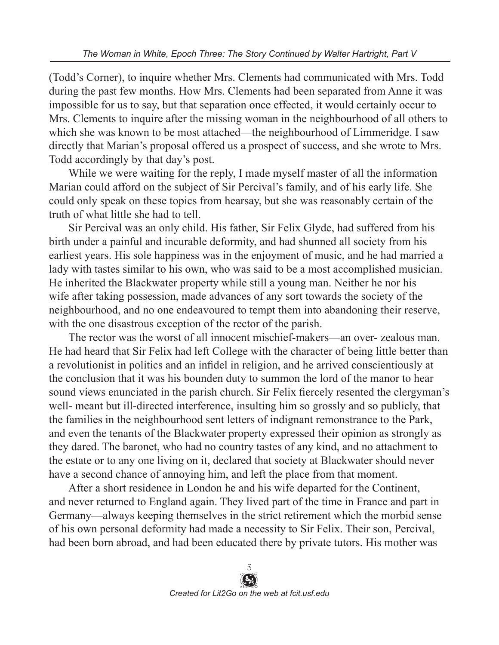(Todd's Corner), to inquire whether Mrs. Clements had communicated with Mrs. Todd during the past few months. How Mrs. Clements had been separated from Anne it was impossible for us to say, but that separation once effected, it would certainly occur to Mrs. Clements to inquire after the missing woman in the neighbourhood of all others to which she was known to be most attached—the neighbourhood of Limmeridge. I saw directly that Marian's proposal offered us a prospect of success, and she wrote to Mrs. Todd accordingly by that day's post.

While we were waiting for the reply, I made myself master of all the information Marian could afford on the subject of Sir Percival's family, and of his early life. She could only speak on these topics from hearsay, but she was reasonably certain of the truth of what little she had to tell.

Sir Percival was an only child. His father, Sir Felix Glyde, had suffered from his birth under a painful and incurable deformity, and had shunned all society from his earliest years. His sole happiness was in the enjoyment of music, and he had married a lady with tastes similar to his own, who was said to be a most accomplished musician. He inherited the Blackwater property while still a young man. Neither he nor his wife after taking possession, made advances of any sort towards the society of the neighbourhood, and no one endeavoured to tempt them into abandoning their reserve, with the one disastrous exception of the rector of the parish.

The rector was the worst of all innocent mischief-makers—an over- zealous man. He had heard that Sir Felix had left College with the character of being little better than a revolutionist in politics and an infidel in religion, and he arrived conscientiously at the conclusion that it was his bounden duty to summon the lord of the manor to hear sound views enunciated in the parish church. Sir Felix fiercely resented the clergyman's well- meant but ill-directed interference, insulting him so grossly and so publicly, that the families in the neighbourhood sent letters of indignant remonstrance to the Park, and even the tenants of the Blackwater property expressed their opinion as strongly as they dared. The baronet, who had no country tastes of any kind, and no attachment to the estate or to any one living on it, declared that society at Blackwater should never have a second chance of annoying him, and left the place from that moment.

After a short residence in London he and his wife departed for the Continent, and never returned to England again. They lived part of the time in France and part in Germany—always keeping themselves in the strict retirement which the morbid sense of his own personal deformity had made a necessity to Sir Felix. Their son, Percival, had been born abroad, and had been educated there by private tutors. His mother was